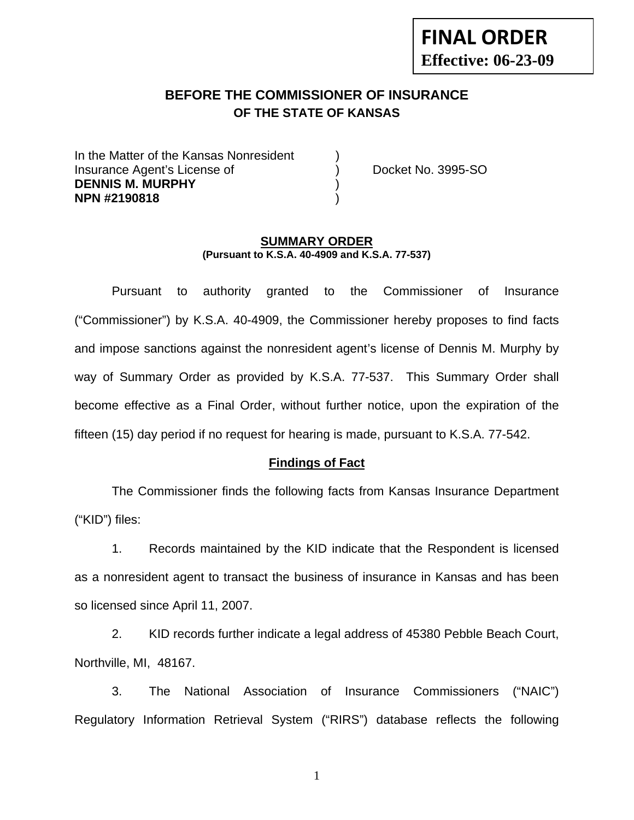# **FINAL ORDER Effective: 06-23-09**

# **BEFORE THE COMMISSIONER OF INSURANCE OF THE STATE OF KANSAS**

In the Matter of the Kansas Nonresident Insurance Agent's License of ) Docket No. 3995-SO **DENNIS M. MURPHY** ) **NPN #2190818** )

#### **SUMMARY ORDER (Pursuant to K.S.A. 40-4909 and K.S.A. 77-537)**

 Pursuant to authority granted to the Commissioner of Insurance ("Commissioner") by K.S.A. 40-4909, the Commissioner hereby proposes to find facts and impose sanctions against the nonresident agent's license of Dennis M. Murphy by way of Summary Order as provided by K.S.A. 77-537. This Summary Order shall become effective as a Final Order, without further notice, upon the expiration of the fifteen (15) day period if no request for hearing is made, pursuant to K.S.A. 77-542.

#### **Findings of Fact**

 The Commissioner finds the following facts from Kansas Insurance Department ("KID") files:

 1. Records maintained by the KID indicate that the Respondent is licensed as a nonresident agent to transact the business of insurance in Kansas and has been so licensed since April 11, 2007.

 2. KID records further indicate a legal address of 45380 Pebble Beach Court, Northville, MI, 48167.

 3. The National Association of Insurance Commissioners ("NAIC") Regulatory Information Retrieval System ("RIRS") database reflects the following

1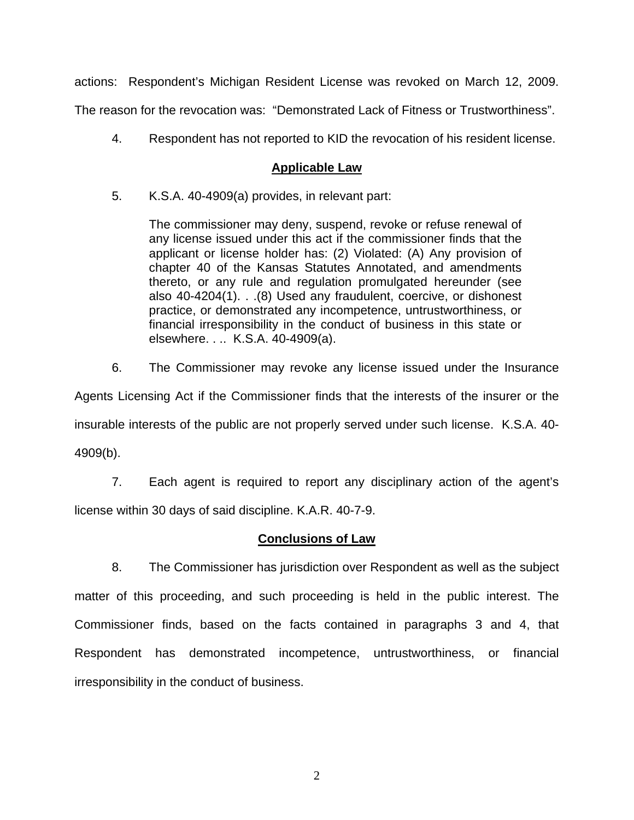actions: Respondent's Michigan Resident License was revoked on March 12, 2009.

The reason for the revocation was: "Demonstrated Lack of Fitness or Trustworthiness".

4. Respondent has not reported to KID the revocation of his resident license.

### **Applicable Law**

5. K.S.A. 40-4909(a) provides, in relevant part:

The commissioner may deny, suspend, revoke or refuse renewal of any license issued under this act if the commissioner finds that the applicant or license holder has: (2) Violated: (A) Any provision of chapter 40 of the Kansas Statutes Annotated, and amendments thereto, or any rule and regulation promulgated hereunder (see also 40-4204(1). . .(8) Used any fraudulent, coercive, or dishonest practice, or demonstrated any incompetence, untrustworthiness, or financial irresponsibility in the conduct of business in this state or elsewhere. . .. K.S.A. 40-4909(a).

6. The Commissioner may revoke any license issued under the Insurance

Agents Licensing Act if the Commissioner finds that the interests of the insurer or the insurable interests of the public are not properly served under such license. K.S.A. 40- 4909(b).

 7. Each agent is required to report any disciplinary action of the agent's license within 30 days of said discipline. K.A.R. 40-7-9.

#### **Conclusions of Law**

 8. The Commissioner has jurisdiction over Respondent as well as the subject matter of this proceeding, and such proceeding is held in the public interest. The Commissioner finds, based on the facts contained in paragraphs 3 and 4, that Respondent has demonstrated incompetence, untrustworthiness, or financial irresponsibility in the conduct of business.

2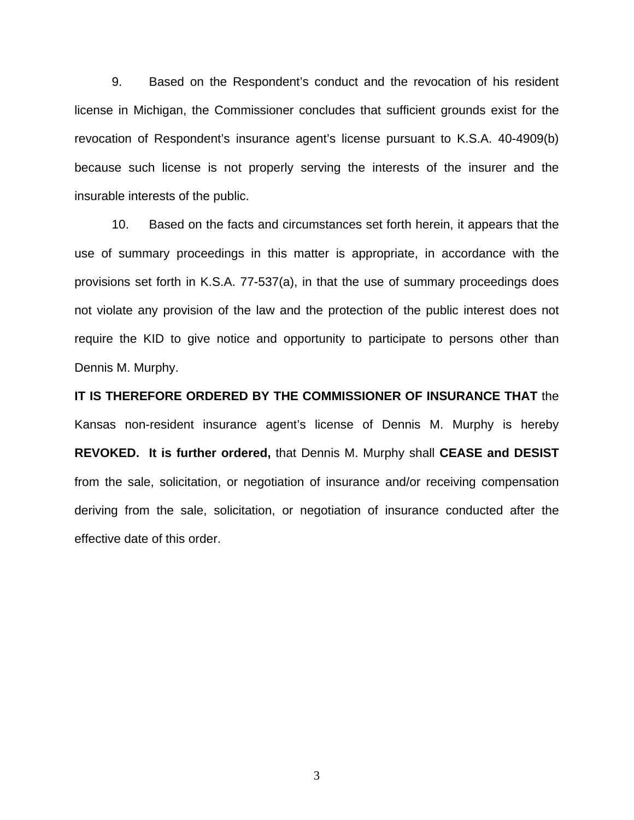9. Based on the Respondent's conduct and the revocation of his resident license in Michigan, the Commissioner concludes that sufficient grounds exist for the revocation of Respondent's insurance agent's license pursuant to K.S.A. 40-4909(b) because such license is not properly serving the interests of the insurer and the insurable interests of the public.

 10. Based on the facts and circumstances set forth herein, it appears that the use of summary proceedings in this matter is appropriate, in accordance with the provisions set forth in K.S.A. 77-537(a), in that the use of summary proceedings does not violate any provision of the law and the protection of the public interest does not require the KID to give notice and opportunity to participate to persons other than Dennis M. Murphy.

**IT IS THEREFORE ORDERED BY THE COMMISSIONER OF INSURANCE THAT** the Kansas non-resident insurance agent's license of Dennis M. Murphy is hereby **REVOKED. It is further ordered,** that Dennis M. Murphy shall **CEASE and DESIST** from the sale, solicitation, or negotiation of insurance and/or receiving compensation deriving from the sale, solicitation, or negotiation of insurance conducted after the effective date of this order.

3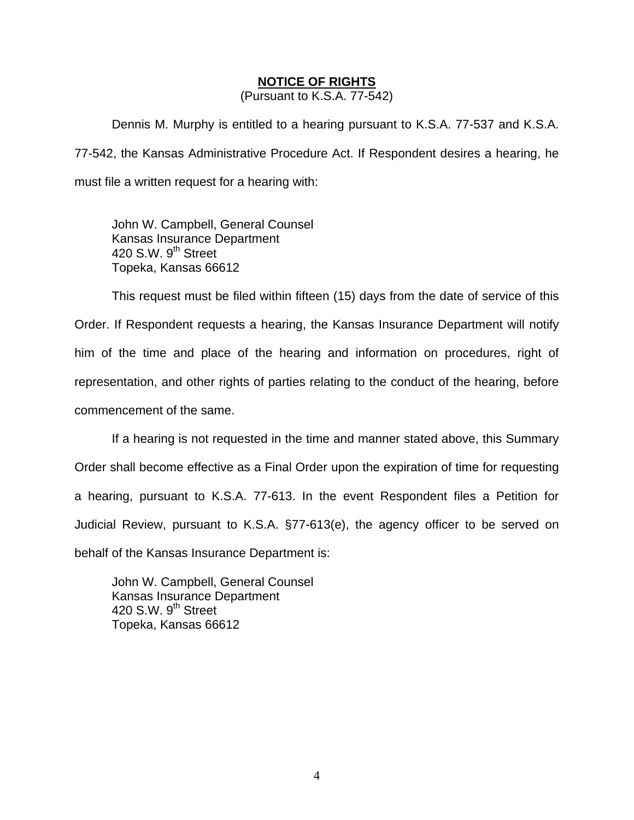#### **NOTICE OF RIGHTS**

(Pursuant to K.S.A. 77-542)

Dennis M. Murphy is entitled to a hearing pursuant to K.S.A. 77-537 and K.S.A. 77-542, the Kansas Administrative Procedure Act. If Respondent desires a hearing, he must file a written request for a hearing with:

 John W. Campbell, General Counsel Kansas Insurance Department 420 S.W. 9<sup>th</sup> Street Topeka, Kansas 66612

This request must be filed within fifteen (15) days from the date of service of this Order. If Respondent requests a hearing, the Kansas Insurance Department will notify him of the time and place of the hearing and information on procedures, right of representation, and other rights of parties relating to the conduct of the hearing, before commencement of the same.

If a hearing is not requested in the time and manner stated above, this Summary Order shall become effective as a Final Order upon the expiration of time for requesting a hearing, pursuant to K.S.A. 77-613. In the event Respondent files a Petition for Judicial Review, pursuant to K.S.A. §77-613(e), the agency officer to be served on behalf of the Kansas Insurance Department is:

 John W. Campbell, General Counsel Kansas Insurance Department 420 S.W.  $9<sup>th</sup>$  Street Topeka, Kansas 66612